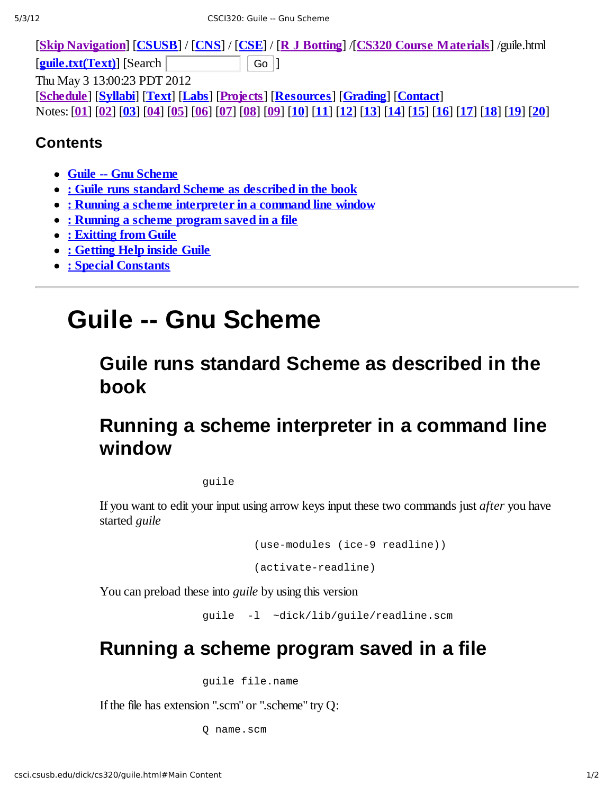[**Skip Navigation**] [**CSUSB**] / [**CNS**] / [**CSE**] / [**R J Botting**] /[**CS320 Course Materials**] /guile.html **<u>[guile.txt(Text)</u>**] [Search  $\vert$  Go ]

Thu May 3 13:00:23 PDT 2012

[**Schedule**] [**Syllabi**] [**Text**] [**Labs**] [**Projects**] [**Resources**] [**Grading**] [**Contact**] Notes: [01] [02] [03] [04] [05] [06] [07] [08] [09] [10] [11] [12] [13] [14] [15] [16] [17] [18] [19] [20]

#### **Contents**

- **Guile Gnu Scheme**
- **: Guile runs standard Scheme as described in the book**
- **: Running a scheme interpreter in a command line window**
- **: Running a scheme program saved in a file**
- **: Exitting from Guile**
- **: Getting Help inside Guile**
- **: Special Constants**

# **Guile Gnu Scheme**

### **Guile runs standard Scheme as described in the book**

## **Running a scheme interpreter in a command line window**

guile

If you want to edit your input using arrow keys input these two commands just *after* you have started *guile*

```
(use-modules (ice-9 readline))
```
(activate-readline)

You can preload these into *guile* by using this version

guile -1 ~dick/lib/guile/readline.scm

### **Running a scheme program saved in a file**

guile file.name

If the file has extension ".scm" or ".scheme" try Q:

Q name.scm